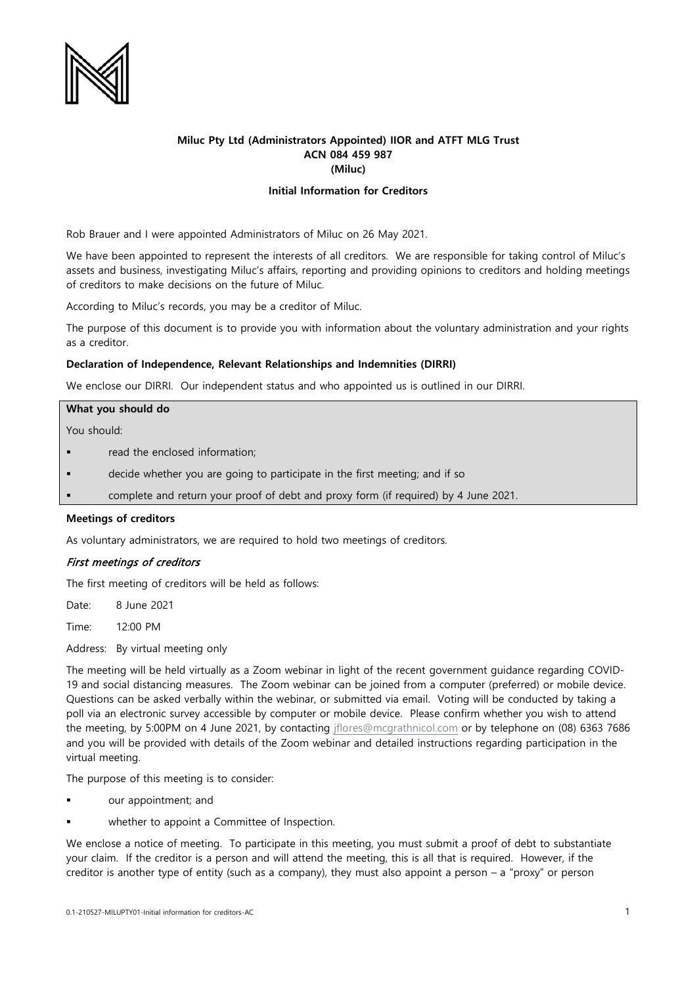

# **Miluc Pty Ltd (Administrators Appointed) IIOR and ATFT MLG Trust ACN 084 459 987 (Miluc)**

# **Initial Information for Creditors**

Rob Brauer and I were appointed Administrators of Miluc on 26 May 2021.

We have been appointed to represent the interests of all creditors. We are responsible for taking control of Miluc's assets and business, investigating Miluc's affairs, reporting and providing opinions to creditors and holding meetings of creditors to make decisions on the future of Miluc.

According to Miluc's records, you may be a creditor of Miluc.

The purpose of this document is to provide you with information about the voluntary administration and your rights as a creditor.

### **Declaration of Independence, Relevant Relationships and Indemnities (DIRRI)**

We enclose our DIRRI. Our independent status and who appointed us is outlined in our DIRRI.

### **What you should do**

You should:

- read the enclosed information;
- decide whether you are going to participate in the first meeting; and if so
- complete and return your proof of debt and proxy form (if required) by 4 June 2021.

### **Meetings of creditors**

As voluntary administrators, we are required to hold two meetings of creditors.

# First meetings of creditors

The first meeting of creditors will be held as follows:

Date: 8 June 2021

Time: 12:00 PM

Address: By virtual meeting only

The meeting will be held virtually as a Zoom webinar in light of the recent government guidance regarding COVID-19 and social distancing measures. The Zoom webinar can be joined from a computer (preferred) or mobile device. Questions can be asked verbally within the webinar, or submitted via email. Voting will be conducted by taking a poll via an electronic survey accessible by computer or mobile device. Please confirm whether you wish to attend the meeting, by 5:00PM on 4 June 2021, by contacting [jflores@mcgrathnicol.com](mailto:jflores@mcgrathnicol.com) or by telephone on (08) 6363 7686 and you will be provided with details of the Zoom webinar and detailed instructions regarding participation in the virtual meeting.

The purpose of this meeting is to consider:

- our appointment; and
- whether to appoint a Committee of Inspection.

We enclose a notice of meeting. To participate in this meeting, you must submit a proof of debt to substantiate your claim. If the creditor is a person and will attend the meeting, this is all that is required. However, if the creditor is another type of entity (such as a company), they must also appoint a person – a "proxy" or person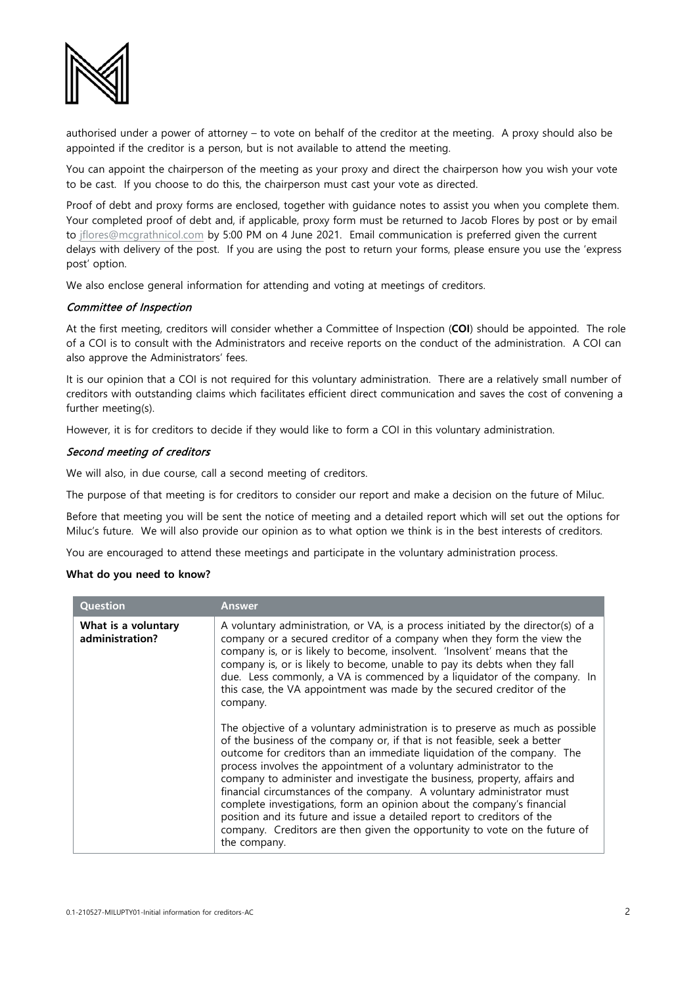

authorised under a power of attorney – to vote on behalf of the creditor at the meeting. A proxy should also be appointed if the creditor is a person, but is not available to attend the meeting.

You can appoint the chairperson of the meeting as your proxy and direct the chairperson how you wish your vote to be cast. If you choose to do this, the chairperson must cast your vote as directed.

Proof of debt and proxy forms are enclosed, together with guidance notes to assist you when you complete them. Your completed proof of debt and, if applicable, proxy form must be returned to Jacob Flores by post or by email to [jflores@mcgrathnicol.com](mailto:jflores@mcgrathnicol.com) by 5:00 PM on 4 June 2021. Email communication is preferred given the current delays with delivery of the post. If you are using the post to return your forms, please ensure you use the 'express post' option.

We also enclose general information for attending and voting at meetings of creditors.

# Committee of Inspection

At the first meeting, creditors will consider whether a Committee of Inspection (**COI**) should be appointed. The role of a COI is to consult with the Administrators and receive reports on the conduct of the administration. A COI can also approve the Administrators' fees.

It is our opinion that a COI is not required for this voluntary administration. There are a relatively small number of creditors with outstanding claims which facilitates efficient direct communication and saves the cost of convening a further meeting(s).

However, it is for creditors to decide if they would like to form a COI in this voluntary administration.

### Second meeting of creditors

We will also, in due course, call a second meeting of creditors.

The purpose of that meeting is for creditors to consider our report and make a decision on the future of Miluc.

Before that meeting you will be sent the notice of meeting and a detailed report which will set out the options for Miluc's future. We will also provide our opinion as to what option we think is in the best interests of creditors.

You are encouraged to attend these meetings and participate in the voluntary administration process.

# **What do you need to know?**

| <b>Question</b>                        | Answer                                                                                                                                                                                                                                                                                                                                                                                                                                                                                                                                                                                                                                                                                                                                                                                                                                                                                                                                                                                                                                                                                                                                                                                                              |
|----------------------------------------|---------------------------------------------------------------------------------------------------------------------------------------------------------------------------------------------------------------------------------------------------------------------------------------------------------------------------------------------------------------------------------------------------------------------------------------------------------------------------------------------------------------------------------------------------------------------------------------------------------------------------------------------------------------------------------------------------------------------------------------------------------------------------------------------------------------------------------------------------------------------------------------------------------------------------------------------------------------------------------------------------------------------------------------------------------------------------------------------------------------------------------------------------------------------------------------------------------------------|
| What is a voluntary<br>administration? | A voluntary administration, or VA, is a process initiated by the director(s) of a<br>company or a secured creditor of a company when they form the view the<br>company is, or is likely to become, insolvent. 'Insolvent' means that the<br>company is, or is likely to become, unable to pay its debts when they fall<br>due. Less commonly, a VA is commenced by a liquidator of the company. In<br>this case, the VA appointment was made by the secured creditor of the<br>company.<br>The objective of a voluntary administration is to preserve as much as possible<br>of the business of the company or, if that is not feasible, seek a better<br>outcome for creditors than an immediate liquidation of the company. The<br>process involves the appointment of a voluntary administrator to the<br>company to administer and investigate the business, property, affairs and<br>financial circumstances of the company. A voluntary administrator must<br>complete investigations, form an opinion about the company's financial<br>position and its future and issue a detailed report to creditors of the<br>company. Creditors are then given the opportunity to vote on the future of<br>the company. |
|                                        |                                                                                                                                                                                                                                                                                                                                                                                                                                                                                                                                                                                                                                                                                                                                                                                                                                                                                                                                                                                                                                                                                                                                                                                                                     |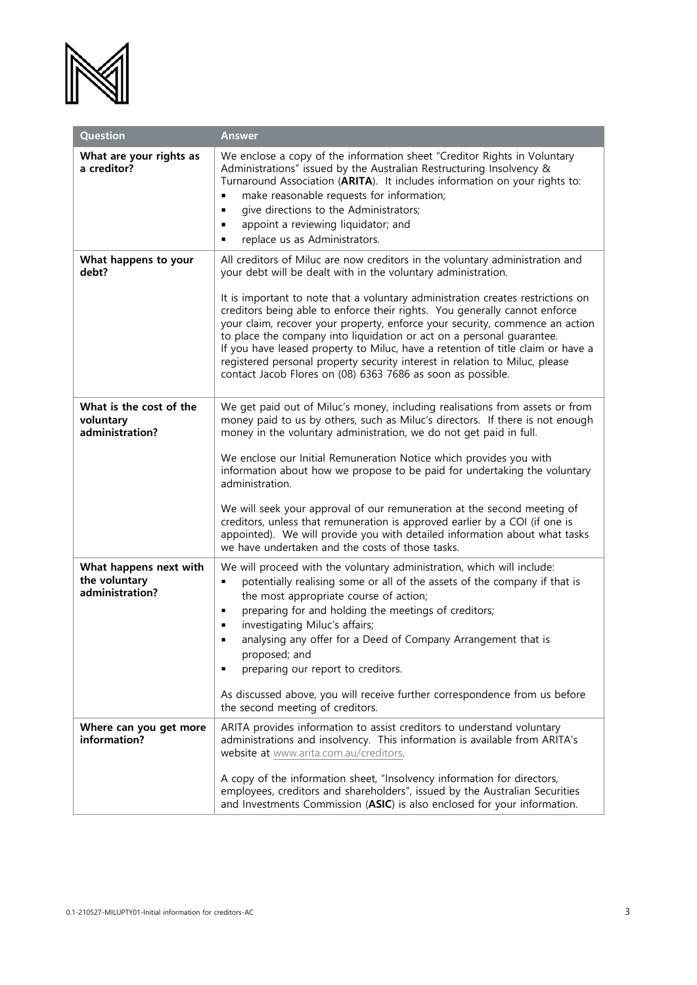

| Question                                                   | <b>Answer</b>                                                                                                                                                                                                                                                                                                                                                                                                                                                                                                                                           |
|------------------------------------------------------------|---------------------------------------------------------------------------------------------------------------------------------------------------------------------------------------------------------------------------------------------------------------------------------------------------------------------------------------------------------------------------------------------------------------------------------------------------------------------------------------------------------------------------------------------------------|
| What are your rights as<br>a creditor?                     | We enclose a copy of the information sheet "Creditor Rights in Voluntary<br>Administrations" issued by the Australian Restructuring Insolvency &<br>Turnaround Association (ARITA). It includes information on your rights to:<br>make reasonable requests for information;<br>Ξ<br>give directions to the Administrators;<br>П<br>appoint a reviewing liquidator; and<br>٠<br>replace us as Administrators.<br>٠                                                                                                                                       |
| What happens to your<br>debt?                              | All creditors of Miluc are now creditors in the voluntary administration and<br>your debt will be dealt with in the voluntary administration.                                                                                                                                                                                                                                                                                                                                                                                                           |
|                                                            | It is important to note that a voluntary administration creates restrictions on<br>creditors being able to enforce their rights. You generally cannot enforce<br>your claim, recover your property, enforce your security, commence an action<br>to place the company into liquidation or act on a personal guarantee.<br>If you have leased property to Miluc, have a retention of title claim or have a<br>registered personal property security interest in relation to Miluc, please<br>contact Jacob Flores on (08) 6363 7686 as soon as possible. |
| What is the cost of the<br>voluntary<br>administration?    | We get paid out of Miluc's money, including realisations from assets or from<br>money paid to us by others, such as Miluc's directors. If there is not enough<br>money in the voluntary administration, we do not get paid in full.                                                                                                                                                                                                                                                                                                                     |
|                                                            | We enclose our Initial Remuneration Notice which provides you with<br>information about how we propose to be paid for undertaking the voluntary<br>administration.<br>We will seek your approval of our remuneration at the second meeting of                                                                                                                                                                                                                                                                                                           |
|                                                            | creditors, unless that remuneration is approved earlier by a COI (if one is<br>appointed). We will provide you with detailed information about what tasks<br>we have undertaken and the costs of those tasks.                                                                                                                                                                                                                                                                                                                                           |
| What happens next with<br>the voluntary<br>administration? | We will proceed with the voluntary administration, which will include:<br>potentially realising some or all of the assets of the company if that is<br>٠<br>the most appropriate course of action;<br>preparing for and holding the meetings of creditors;<br>п<br>investigating Miluc's affairs;<br>٠<br>analysing any offer for a Deed of Company Arrangement that is<br>п<br>proposed; and<br>preparing our report to creditors.<br>٠                                                                                                                |
|                                                            | As discussed above, you will receive further correspondence from us before<br>the second meeting of creditors.                                                                                                                                                                                                                                                                                                                                                                                                                                          |
| Where can you get more<br>information?                     | ARITA provides information to assist creditors to understand voluntary<br>administrations and insolvency. This information is available from ARITA's<br>website at www.arita.com.au/creditors.<br>A copy of the information sheet, "Insolvency information for directors,<br>employees, creditors and shareholders", issued by the Australian Securities<br>and Investments Commission (ASIC) is also enclosed for your information.                                                                                                                    |